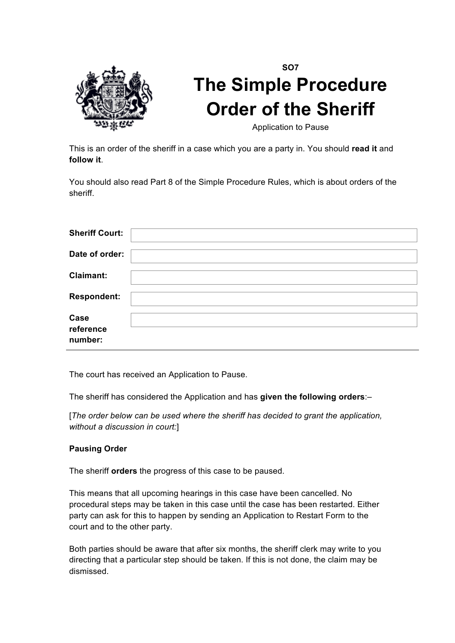

## **SO7 The Simple Procedure Order of the Sheriff**

Application to Pause

This is an order of the sheriff in a case which you are a party in. You should **read it** and **follow it**.

You should also read Part 8 of the Simple Procedure Rules, which is about orders of the sheriff.

| <b>Sheriff Court:</b>        |  |
|------------------------------|--|
| Date of order:               |  |
| Claimant:                    |  |
| <b>Respondent:</b>           |  |
| Case<br>reference<br>number: |  |

The court has received an Application to Pause.

The sheriff has considered the Application and has **given the following orders**:–

[*The order below can be used where the sheriff has decided to grant the application, without a discussion in court:*]

## **Pausing Order**

The sheriff **orders** the progress of this case to be paused.

This means that all upcoming hearings in this case have been cancelled. No procedural steps may be taken in this case until the case has been restarted. Either party can ask for this to happen by sending an Application to Restart Form to the court and to the other party.

Both parties should be aware that after six months, the sheriff clerk may write to you directing that a particular step should be taken. If this is not done, the claim may be dismissed.